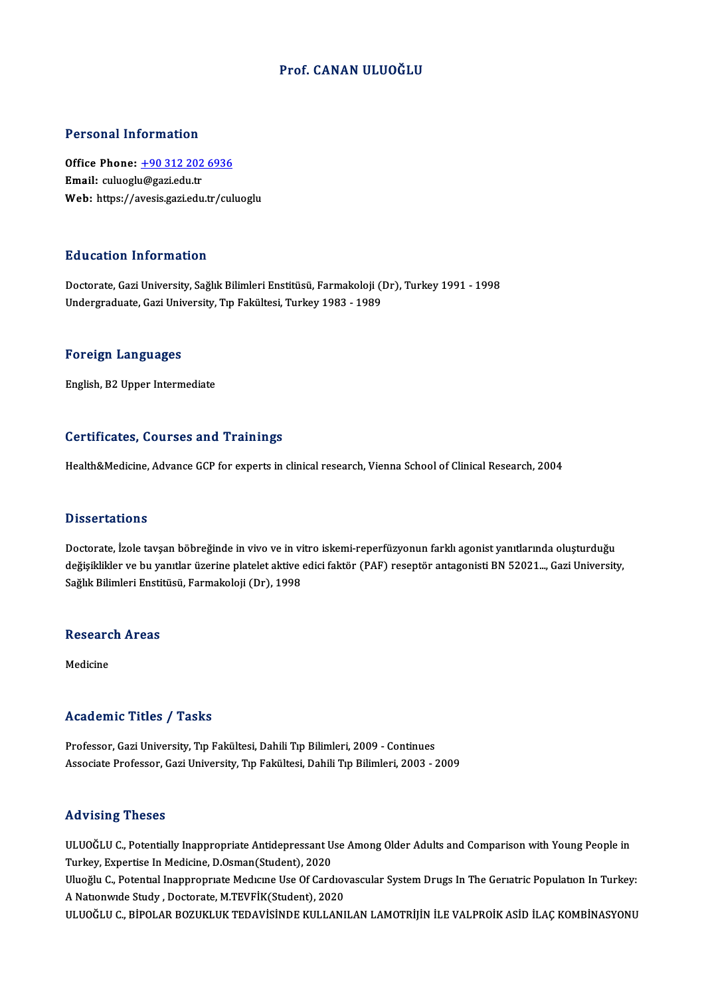### Prof. CANAN ULUOĞLU

### Personal Information

Personal Information<br>Office Phone: <u>+90 312 202 6936</u><br>Email: culuogly@ggriedu.tr 1 Crooner Information<br>Office Phone: <u>+90 312 202</u><br>Email: culuoglu@gazi.edu.tr Email: culuoglu@gazi.edu.tr<br>Web: https://a[vesis.gazi.edu.tr/cul](tel:+90 312 202 6936)uoglu

### Education Information

Doctorate, Gazi University, Sağlık Bilimleri Enstitüsü, Farmakoloji (Dr), Turkey 1991 - 1998 Undergraduate,GaziUniversity,Tıp Fakültesi,Turkey1983 -1989

#### Foreign Languages

English,B2Upper Intermediate

### Certificates, Courses and Trainings

Health&Medicine, Advance GCP for experts in clinical research, Vienna School of Clinical Research, 2004

#### **Dissertations**

Dissertations<br>Doctorate, İzole tavşan böbreğinde in vivo ve in vitro iskemi-reperfüzyonun farklı agonist yanıtlarında oluşturduğu<br>doğisildiden ve bu vanıtlar üzerine platelet ektive edigi fektör (BAF) resentör antasonisti değişiklikler ve bu yanıtlar üzerine platelet aktive edici faktör (PAF) reseptör antagonisti BN 52021..., Gazi University,<br>Sağlık Bilimleri Enstitüsü, Farmakoloji (Dr), 1998 Doctorate, İzole tavşan böbreğinde in vivo ve in vi<br>değişiklikler ve bu yanıtlar üzerine platelet aktive (<br>Sağlık Bilimleri Enstitüsü, Farmakoloji (Dr), 1998

## saguk Buimieri Ensu<br>Research Areas <mark>Resear</mark>c<br><sub>Medicine</sub>

# Medicine<br>Academic Titles / Tasks

Professor, Gazi University, Tıp Fakültesi, Dahili Tıp Bilimleri, 2009 - Continues Associate Professor, Gazi University, Tıp Fakültesi, Dahili Tıp Bilimleri, 2003 - 2009

### Advising Theses

Advising Theses<br>ULUOĞLU C., Potentially Inappropriate Antidepressant Use Among Older Adults and Comparison with Young People in<br>Turkey, Expertise In Medisine, D.Osman(Student), 2020 Turkey, Experiency<br>ULUOĞLU C., Potentially Inappropriate Antidepressant U<br>Turkey, Expertise In Medicine, D.Osman(Student), 2020<br>Uluoğlu C., Petential Inconneonuste Medicine Use Of Cord ULUOĞLU C., Potentially Inappropriate Antidepressant Use Among Older Adults and Comparison with Young People in<br>Turkey, Expertise In Medicine, D.Osman(Student), 2020<br>Uluoğlu C., Potential Inappropriate Medicine Use Of Card Turkey, Expertise In Medicine, D.Osman(Student), 2020<br>Uluoğlu C., Potential Inappropriate Medicine Use Of Cardiovascular System Drugs In The Geriatric Population In Turkey:<br>A Nationwide Study , Doctorate, M.TEVFİK(Student) ULUOĞLU C., BİPOLAR BOZUKLUK TEDAVİSİNDE KULLANILAN LAMOTRİJİN İLE VALPROİK ASİD İLAÇ KOMBİNASYONU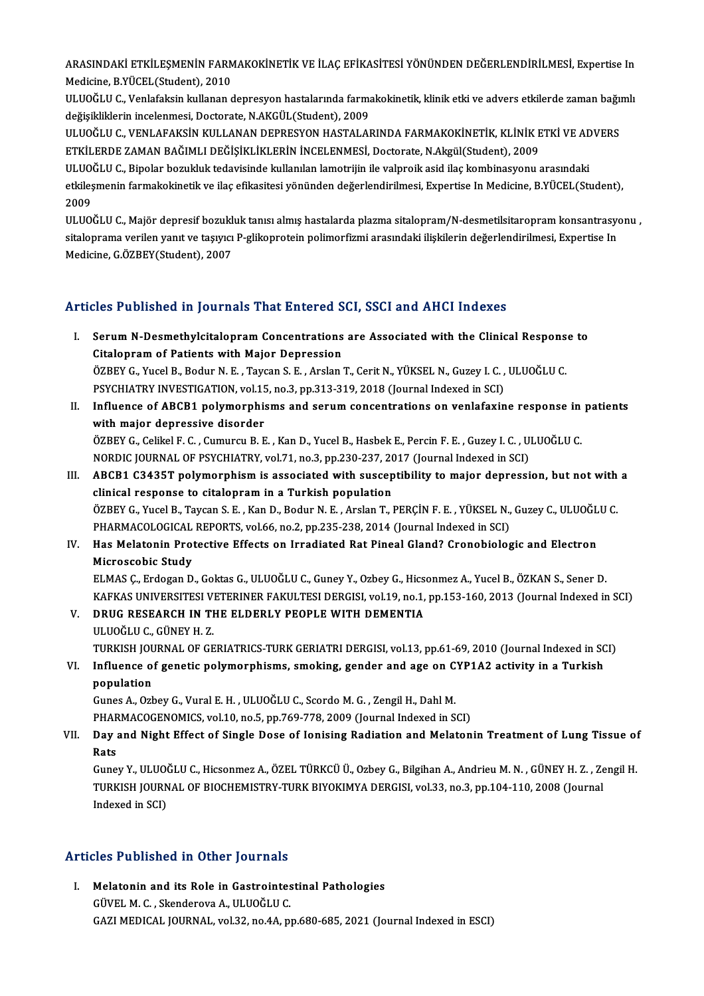ARASINDAKİ ETKİLEŞMENİN FARMAKOKİNETİK VE İLAÇ EFİKASİTESİ YÖNÜNDEN DEĞERLENDİRİLMESİ, Expertise In<br>Madisine B YÜCEL (Student), 2010 ARASINDAKİ ETKİLEŞMENİN FARM<br>Medicine, B.YÜCEL(Student), 2010<br>ULUQĞLU C. Venlafaksin kullanan e ARASINDAKİ ETKİLEŞMENİN FARMAKOKİNETİK VE İLAÇ EFİKASİTESİ YÖNÜNDEN DEĞERLENDİRİLMESİ, Expertise In<br>Medicine, B.YÜCEL(Student), 2010<br>ULUOĞLU C., Venlafaksin kullanan depresyon hastalarında farmakokinetik, klinik etki ve ad

Medicine, B.YÜCEL(Student), 2010<br>ULUOĞLU C., Venlafaksin kullanan depresyon hastalarında farmakokinetik, klinik etki ve advers etkilerde zaman bağımlı<br>değişikliklerin incelenmesi, Doctorate, N.AKGÜL(Student), 2009 ULUOĞLU C., Venlafaksin kullanan depresyon hastalarında farmakokinetik, klinik etki ve advers etkilerde zaman bağı<br>değişikliklerin incelenmesi, Doctorate, N.AKGÜL(Student), 2009<br>ULUOĞLU C., VENLAFAKSİN KULLANAN DEPRESYON H

değişikliklerin incelenmesi, Doctorate, N.AKGÜL(Student), 2009<br>ULUOĞLU C., VENLAFAKSİN KULLANAN DEPRESYON HASTALARINDA FARMAKOKİNETİK, KLİNİK E<br>ETKİLERDE ZAMAN BAĞIMLI DEĞİŞİKLİKLERİN İNCELENMESİ, Doctorate, N.Akgül(Studen ULUOĞLU C., VENLAFAKSİN KULLANAN DEPRESYON HASTALARINDA FARMAKOKİNETİK, KLİNİK ETKİ VE AD<br>ETKİLERDE ZAMAN BAĞIMLI DEĞİŞİKLİKLERİN İNCELENMESİ, Doctorate, N.Akgül(Student), 2009<br>ULUOĞLU C., Bipolar bozukluk tedavisinde kull

etkiles zaman Bağımlı Değişikliklerin incelenmesi, Doctorate, N.Akgül(Student), 2009<br>ULUOĞLU C., Bipolar bozukluk tedavisinde kullanılan lamotrijin ile valproik asid ilaç kombinasyonu arasındaki<br>etkileşmenin farmakokinetik ULUOĞLU C., Bipolar bozukluk tedavisinde kullanılan lamotrijin ile valproik asid ilaç kombinasyonu arasındaki

ULUOĞLU C., Majör depresif bozukluk tanısı almış hastalarda plazma sitalopram/N-desmetilsitaropram konsantrasyonu , 2009<br>ULUOĞLU C., Majör depresif bozukluk tanısı almış hastalarda plazma sitalopram/N-desmetilsitaropram konsantrasy<br>sitaloprama verilen yanıt ve taşıyıcı P-glikoprotein polimorfizmi arasındaki ilişkilerin değerlendirilmesi ULUOĞLU C., Majör depresif bozukl<br>sitaloprama verilen yanıt ve taşıyıcı<br>Medicine, G.ÖZBEY(Student), 2007

# Medicine, G.ÖZBEY(Student), 2007<br>Articles Published in Journals That Entered SCI, SSCI and AHCI Indexes

- rticles Published in Journals That Entered SCI, SSCI and AHCI Indexes<br>I. Serum N-Desmethylcitalopram Concentrations are Associated with the Clinical Response to<br>Citaloppam of Patients with Major Doppession Citalopram of Patients with Major Depression<br>ÖZBEY G., Yucel B., Bodur N. E. , Taycan S. E. , Arslan T., Cerit N., YÜKSEL N., Guzey I. C. , ULUOĞLU C. Serum N-Desmethylcitalopram Concentrations are Associated with the Clinical Respons<br>Citalopram of Patients with Major Depression<br>ÖZBEY G., Yucel B., Bodur N. E. , Taycan S. E. , Arslan T., Cerit N., YÜKSEL N., Guzey I. C. Citalopram of Patients with Major Depression<br>ÖZBEY G., Yucel B., Bodur N. E. , Taycan S. E. , Arslan T., Cerit N., YÜKSEL N., Guzey I. C. ,<br>PSYCHIATRY INVESTIGATION, vol.15, no.3, pp.313-319, 2018 (Journal Indexed in SCI)<br>
- II. Influence of ABCB1 polymorphisms and serum concentrations on venlafaxine response in patients<br>with major depressive disorder PSYCHIATRY INVESTIGATION, vol.15<br>Influence of ABCB1 polymorphis<br>with major depressive disorder<br>ÖZPEV C. Colikel E.C. Cumureu B. E ÖZBEYG.,CelikelF.C. ,CumurcuB.E. ,KanD.,YucelB.,HasbekE.,PercinF.E. ,Guzey I.C. ,ULUOĞLUC. with major depressive disorder<br>ÖZBEY G., Celikel F. C. , Cumurcu B. E. , Kan D., Yucel B., Hasbek E., Percin F. E. , Guzey I. C. , U.<br>NORDIC JOURNAL OF PSYCHIATRY, vol.71, no.3, pp.230-237, 2017 (Journal Indexed in SCI)<br>AP
- III. ABCB1 C3435T polymorphism is associated with susceptibility to major depression, but not with a clinical response to citalopram in a Turkish population NORDIC JOURNAL OF PSYCHIATRY, vol.71, no.3, pp.230-237, 20<br>ABCB1 C3435T polymorphism is associated with suscep<br>clinical response to citalopram in a Turkish population<br>ÖZPEV C. Yugel B. Taygan S. E., Kan D. Bodur N. E., Arg ABCB1 C3435T polymorphism is associated with susceptibility to major depression, but not with<br>clinical response to citalopram in a Turkish population<br>ÖZBEY G., Yucel B., Taycan S. E. , Kan D., Bodur N. E. , Arslan T., PERÇ clinical response to citalopram in a Turkish population<br>ÖZBEY G., Yucel B., Taycan S. E. , Kan D., Bodur N. E. , Arslan T., PERÇİN F. E. , YÜKSEL N.,<br>PHARMACOLOGICAL REPORTS, vol.66, no.2, pp.235-238, 2014 (Journal Indexed ÖZBEY G., Yucel B., Taycan S. E. , Kan D., Bodur N. E. , Arslan T., PERÇİN F. E. , YÜKSEL N., Guzey C., ULUOĞL<br>PHARMACOLOGICAL REPORTS, vol.66, no.2, pp.235-238, 2014 (Journal Indexed in SCI)<br>IV. Has Melatonin Protective E
- PHARMACOLOGICAL REPORTS, vol.66, no.2, pp.235-238, 2014 (Journal Indexed in SCI)<br>Has Melatonin Protective Effects on Irradiated Rat Pineal Gland? Cronobiologic and Electron<br>Microscobic Study

ELMASÇ.,ErdoganD.,GoktasG.,ULUOĞLUC.,GuneyY.,OzbeyG.,HicsonmezA.,YucelB.,ÖZKANS.,SenerD. Microscobic Study<br>ELMAS Ç., Erdogan D., Goktas G., ULUOĞLU C., Guney Y., Ozbey G., Hicsonmez A., Yucel B., ÖZKAN S., Sener D.<br>KAFKAS UNIVERSITESI VETERINER FAKULTESI DERGISI, vol.19, no.1, pp.153-160, 2013 (Journal Indexed ELMAS Ç., Erdogan D., Goktas G., ULUOĞLU C., Guney Y., Ozbey G., Hicson, KAFKAS UNIVERSITESI VETERINER FAKULTESI DERGISI, vol.19, no.1, V.<br>V. DRUG RESEARCH IN THE ELDERLY PEOPLE WITH DEMENTIA

- KAFKAS UNIVERSITESI V<br><mark>DRUG RESEARCH IN TI</mark><br>ULUOĞLU C., GÜNEY H. Z.<br>TURKISH IQURNAL OF CE V. DRUG RESEARCH IN THE ELDERLY PEOPLE WITH DEMENTIA<br>ULUOĞLU C., GÜNEY H. Z.<br>TURKISH JOURNAL OF GERIATRICS-TURK GERIATRI DERGISI, vol.13, pp.61-69, 2010 (Journal Indexed in SCI) ULUOĞLU C., GÜNEY H. Z.<br>TURKISH JOURNAL OF GERIATRICS-TURK GERIATRI DERGISI, vol.13, pp.61-69, 2010 (Journal Indexed in SC<br>VI. Influence of genetic polymorphisms, smoking, gender and age on CYP1A2 activity in a Turkish
- TURKISH JOU<br>Influence of<br>population<br>Cunes A. Ork Influence of genetic polymorphisms, smoking, gender and age on C<br>population<br>Gunes A., Ozbey G., Vural E. H. , ULUOĞLU C., Scordo M. G. , Zengil H., Dahl M.<br>PHAPMACOCENOMICS. val.10, po 5, pp.769,779,2009 (Journal Indoved i

population<br>Gunes A., Ozbey G., Vural E. H. , ULUOĞLU C., Scordo M. G. , Zengil H., Dahl M.<br>PHARMACOGENOMICS, vol.10, no.5, pp.769-778, 2009 (Journal Indexed in SCI)<br>Day and Night Effect of Single Dose of Jonising Bodiation

### Gunes A., Ozbey G., Vural E. H. , ULUOĞLU C., Scordo M. G. , Zengil H., Dahl M.<br>PHARMACOGENOMICS, vol.10, no.5, pp.769-778, 2009 (Journal Indexed in SCI)<br>VII. Day and Night Effect of Single Dose of Ionising Radiation a PHAR<br>Day<br>Rats<br>Cures Day and Night Effect of Single Dose of Ionising Radiation and Melatonin Treatment of Lung Tissue of<br>Rats<br>Guney Y., ULUOĞLU C., Hicsonmez A., ÖZEL TÜRKCÜ Ü., Ozbey G., Bilgihan A., Andrieu M. N. , GÜNEY H. Z. , Zengil H.<br>TU

Rats<br>Guney Y., ULUOĞLU C., Hicsonmez A., ÖZEL TÜRKCÜ Ü., Ozbey G., Bilgihan A., Andrieu M. N. , GÜNEY H. Z. , Ze<br>TURKISH JOURNAL OF BIOCHEMISTRY-TURK BIYOKIMYA DERGISI, vol.33, no.3, pp.104-110, 2008 (Journal<br>Indeved in SC Guney Y., ULUO<br>TURKISH JOURN<br>Indexed in SCI)

# Articles Published in Other Journals

rticles Published in Other Journals<br>I. Melatonin and its Role in Gastrointestinal Pathologies<br>CÜVELM G. Skandarava A. W.UQČLU.C Melatonin and its Role in Gastrointes<br>GÜVEL M. C., Skenderova A., ULUOĞLU C.<br>CAZI MEDICAL IQUBNAL, vol 32, po 44, p. GÜVEL M. C. , Skenderova A., ULUOĞLU C.<br>GAZI MEDICAL JOURNAL, vol.32, no.4A, pp.680-685, 2021 (Journal Indexed in ESCI)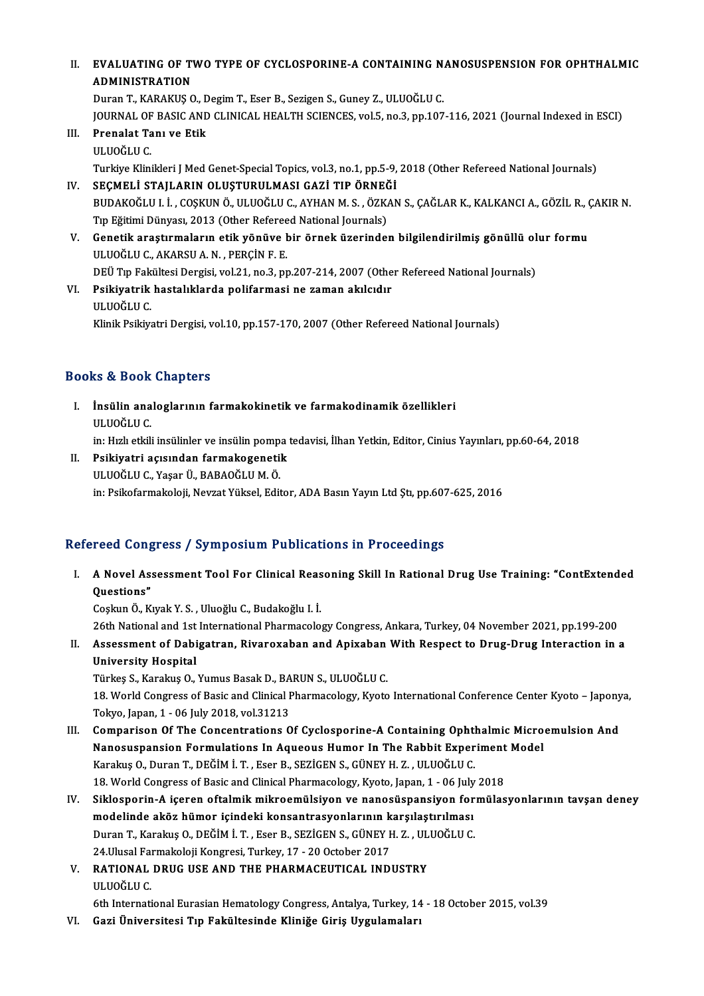### II. EVALUATING OF TWO TYPE OF CYCLOSPORINE-A CONTAINING NANOSUSPENSION FOR OPHTHALMIC<br>ADMINISTRATION EVALUATING OF T<br>ADMINISTRATION<br>Duran T. KABAKUS C EVALUATING OF TWO TYPE OF CYCLOSPORINE-A CONTAINING N.<br>ADMINISTRATION<br>Duran T., KARAKUŞ O., Degim T., Eser B., Sezigen S., Guney Z., ULUOĞLU C.<br>JOUPNAL OF PASIC AND CLINICAL HEALTH SCIENCES .vol 5, po 3, pp.107

ADMINISTRATION<br>Duran T., KARAKUŞ O., Degim T., Eser B., Sezigen S., Guney Z., ULUOĞLU C.<br>JOURNAL OF BASIC AND CLINICAL HEALTH SCIENCES, vol.5, no.3, pp.107-116, 2021 (Journal Indexed in ESCI)<br>Prenalat Tanı ve Etik Duran T., KARAKUŞ O., Degim T., Eser B., Sezigen S., Guney Z., ULUOĞLU C.<br>JOURNAL OF BASIC AND CLINICAL HEALTH SCIENCES, vol.5, no.3, pp.107<br>III. Prenalat Tanı ve Etik<br>ULUOĞLU C.

JOURNAL OF<br><mark>Prenalat Ta</mark><br>ULUOĞLU C.<br>Turkiya Klini

Turkiye Klinikleri J Med Genet-Special Topics, vol.3, no.1, pp.5-9, 2018 (Other Refereed National Journals) IV. SEÇMELİ STAJLARIN OLUŞTURULMASI GAZİ TIP ÖRNEĞİ

- Turkiye Klinikleri J Med Genet-Special Topics, vol.3, no.1, pp.5-9, 2018 (Other Refereed National Journals)<br>SEÇMELİ STAJLARIN OLUŞTURULMASI GAZİ TIP ÖRNEĞİ<br>BUDAKOĞLU I. İ. , COŞKUN Ö., ULUOĞLU C., AYHAN M. S. , ÖZKAN S., Ç SEÇMELİ STAJLARIN OLUŞTURULMASI GAZİ TIP ÖRNEĞ<br>BUDAKOĞLU I. İ. , COŞKUN Ö., ULUOĞLU C., AYHAN M. S. , ÖZK.<br>Tıp Eğitimi Dünyası, 2013 (Other Refereed National Journals)<br>Conatik arastırmaların etik yönüye bir örnek üzerinde BUDAKOĞLU I. İ. , COŞKUN Ö., ULUOĞLU C., AYHAN M. S. , ÖZKAN S., ÇAĞLAR K., KALKANCI A., GÖZİL R., (<br>Tıp Eğitimi Dünyası, 2013 (Other Refereed National Journals)<br>V. Genetik araştırmaların etik yönüve bir örnek üzerinden bi
- Tıp Eğitimi Dünyası, 2013 (Other Refereed National Journals)<br>Genetik araştırmaların etik yönüve bir örnek üzerinden bilgilendirilmiş gönüllü ol<br>ULUOĞLU C., AKARSU A. N. , PERÇİN F. E.<br>DEÜ Tıp Fakültesi Dergisi, vol.21, no. Genetik araştırmaların etik yönüve bir örnek üzerinden bilgilendirilmiş gönüllü ol<br>ULUOĞLU C., AKARSU A. N. , PERÇİN F. E.<br>DEÜ Tıp Fakültesi Dergisi, vol.21, no.3, pp.207-214, 2007 (Other Refereed National Journals)<br>Psikiy ULUOĞLU C., AKARSU A. N. , PERÇİN F. E.<br>DEÜ Tıp Fakültesi Dergisi, vol.21, no.3, pp.207-214, 2007 (Othe<br>VI. Psikiyatrik hastalıklarda polifarmasi ne zaman akılcıdır<br>III HOĞLU C
- DEÜ Tıp Fak<br><mark>Psikiyatrik</mark><br>ULUOĞLU C.<br>Klinik Beikiy ULUOĞLU C.<br>Klinik Psikiyatri Dergisi, vol.10, pp.157-170, 2007 (Other Refereed National Journals)

### Books&Book Chapters

- ooks & Book Chapters<br>I. İnsülin analoglarının farmakokinetik ve farmakodinamik özellikleri<br>III HOČLUC is & Book<br>İnsülin ana<br>ULUOĞLU C.<br>in: Hull otkili ULUOĞLU C.<br>in: Hızlı etkili insülinler ve insülin pompa tedavisi, İlhan Yetkin, Editor, Cinius Yayınları, pp.60-64, 2018
- II. Psikiyatri açısından farmakogenetik ULUOĞLUC.,YaşarÜ.,BABAOĞLUM.Ö. in: Psikofarmakoloji, Nevzat Yüksel, Editor, ADA Basın Yayın Ltd Ştı, pp.607-625, 2016

### Refereed Congress / Symposium Publications in Proceedings

efereed Congress / Symposium Publications in Proceedings<br>I. A Novel Assessment Tool For Clinical Reasoning Skill In Rational Drug Use Training: "ContExtended<br>Overtions" A Novel Ass.<br>Questions"<br>Cookin Ö A Novel Assessment Tool For Clinical Reas<br>Questions"<br>Coşkun Ö., Kıyak Y. S. , Uluoğlu C., Budakoğlu I. İ.<br>26th National and 1st International Pharmacale **Questions"**<br>Coşkun Ö., Kıyak Y. S. , Uluoğlu C., Budakoğlu I. İ.<br>26th National and 1st International Pharmacology Congress, Ankara, Turkey, 04 November 2021, pp.199-200<br>Assessment of Debisetran, Biyanoveben and Aniveben W

Coşkun Ö., Kıyak Y. S. , Uluoğlu C., Budakoğlu I. İ.<br>26th National and 1st International Pharmacology Congress, Ankara, Turkey, 04 November 2021, pp.199-200<br>II. Assessment of Dabigatran, Rivaroxaban and Apixaban With Respe 26th National and 1st<br>Assessment of Dabi<br>University Hospital<br>Türkes S. Karakus O Assessment of Dabigatran, Rivaroxaban and Apixaban<br>University Hospital<br>Türkeş S., Karakuş O., Yumus Basak D., BARUN S., ULUOĞLU C.<br>19. World Congress of Basis and Clinical Bharmasalagu, Kuata

University Hospital<br>Türkeş S., Karakuş O., Yumus Basak D., BARUN S., ULUOĞLU C.<br>18. World Congress of Basic and Clinical Pharmacology, Kyoto International Conference Center Kyoto – Japonya,<br>Tokyo, Japan, 1 - 06 July 2018, Türkeş S., Karakuş O., Yumus Basak D., BA<br>18. World Congress of Basic and Clinical I<br>Tokyo, Japan, 1 - 06 July 2018, vol.31213<br>Companison Of The Consentrations O 18. World Congress of Basic and Clinical Pharmacology, Kyoto International Conference Center Kyoto – Japony<br>Tokyo, Japan, 1 - 06 July 2018, vol.31213<br>III. Comparison Of The Concentrations Of Cyclosporine-A Containing Ophth

- Tokyo, Japan, 1 06 July 2018, vol.31213<br>Comparison Of The Concentrations Of Cyclosporine-A Containing Ophthalmic Micro<br>Nanosuspansion Formulations In Aqueous Humor In The Rabbit Experiment Model<br>Karakus O. Duren T. DEČIM Comparison Of The Concentrations Of Cyclosporine-A Containing Opht<br>Nanosuspansion Formulations In Aqueous Humor In The Rabbit Exper<br>Karakuş O., Duran T., DEĞİM İ. T. , Eser B., SEZİGEN S., GÜNEY H. Z. , ULUOĞLU C.<br>18 World Nanosuspansion Formulations In Aqueous Humor In The Rabbit Experiment<br>Karakuş 0., Duran T., DEĞİM İ. T. , Eser B., SEZİGEN S., GÜNEY H. Z. , ULUOĞLU C.<br>18. World Congress of Basic and Clinical Pharmacology, Kyoto, Japan, 1
- Karakuş O., Duran T., DEĞİM İ. T. , Eser B., SEZİGEN S., GÜNEY H. Z. , ULUOĞLU C.<br>18. World Congress of Basic and Clinical Pharmacology, Kyoto, Japan, 1 06 July 2018<br>IV. Siklosporin-A içeren oftalmik mikroemülsiyon v 18. World Congress of Basic and Clinical Pharmacology, Kyoto, Japan, 1 - 06 July<br>Siklosporin-A içeren oftalmik mikroemülsiyon ve nanosüspansiyon for<br>modelinde aköz hümor içindeki konsantrasyonlarının karşılaştırılması<br>Dura Siklosporin-A içeren oftalmik mikroemülsiyon ve nanosüspansiyon for<br>modelinde aköz hümor içindeki konsantrasyonlarının karşılaştırılması<br>Duran T., Karakuş O., DEĞİM İ. T. , Eser B., SEZİGEN S., GÜNEY H. Z. , ULUOĞLU C.<br>24 modelinde aköz hümor içindeki konsantrasyonlarının k<br>Duran T., Karakuş O., DEĞİM İ. T. , Eser B., SEZİGEN S., GÜNEY F<br>24.Ulusal Farmakoloji Kongresi, Turkey, 17 - 20 October 2017<br>BATIONAL DRUC USE AND TUE BHARMACEUTICAL IN Duran T., Karakuş O., DEĞİM İ. T. , Eser B., SEZİGEN S., GÜNEY H. Z. , UL<br>24.Ulusal Farmakoloji Kongresi, Turkey, 17 - 20 October 2017<br>V. RATIONAL DRUG USE AND THE PHARMACEUTICAL INDUSTRY<br>III UQĞLU C
- 24.Ulusal Farmakoloji Kongresi, Turkey, 17 20 October 2017<br>V. RATIONAL DRUG USE AND THE PHARMACEUTICAL INDUSTRY<br>ULUOĞLU C.

6th International Eurasian Hematology Congress, Antalya, Turkey, 14 - 18 October 2015, vol.39

VI. Gazi Üniversitesi Tıp Fakültesinde Kliniğe Giriş Uygulamaları